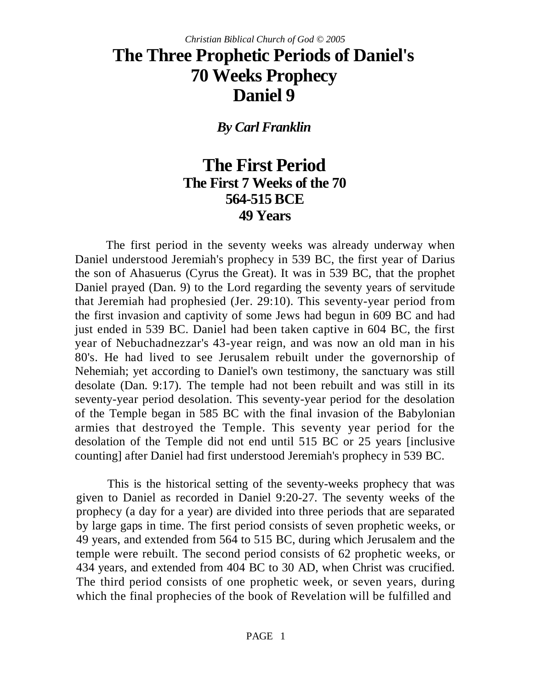# **The Three Prophetic Periods of Daniel's 70 Weeks Prophecy Daniel 9**

*By Carl Franklin*

# **The First Period The First 7 Weeks of the 70 564-515 BCE 49 Years**

The first period in the seventy weeks was already underway when Daniel understood Jeremiah's prophecy in 539 BC, the first year of Darius the son of Ahasuerus (Cyrus the Great). It was in 539 BC, that the prophet Daniel prayed (Dan. 9) to the Lord regarding the seventy years of servitude that Jeremiah had prophesied (Jer. 29:10). This seventy-year period from the first invasion and captivity of some Jews had begun in 609 BC and had just ended in 539 BC. Daniel had been taken captive in 604 BC, the first year of Nebuchadnezzar's 43-year reign, and was now an old man in his 80's. He had lived to see Jerusalem rebuilt under the governorship of Nehemiah; yet according to Daniel's own testimony, the sanctuary was still desolate (Dan. 9:17). The temple had not been rebuilt and was still in its seventy-year period desolation. This seventy-year period for the desolation of the Temple began in 585 BC with the final invasion of the Babylonian armies that destroyed the Temple. This seventy year period for the desolation of the Temple did not end until 515 BC or 25 years [inclusive counting] after Daniel had first understood Jeremiah's prophecy in 539 BC.

This is the historical setting of the seventy-weeks prophecy that was given to Daniel as recorded in Daniel 9:20-27. The seventy weeks of the prophecy (a day for a year) are divided into three periods that are separated by large gaps in time. The first period consists of seven prophetic weeks, or 49 years, and extended from 564 to 515 BC, during which Jerusalem and the temple were rebuilt. The second period consists of 62 prophetic weeks, or 434 years, and extended from 404 BC to 30 AD, when Christ was crucified. The third period consists of one prophetic week, or seven years, during which the final prophecies of the book of Revelation will be fulfilled and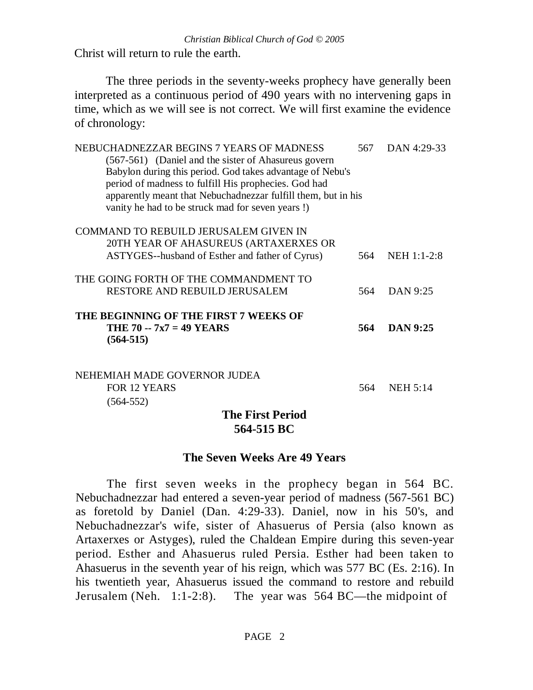Christ will return to rule the earth.

The three periods in the seventy-weeks prophecy have generally been interpreted as a continuous period of 490 years with no intervening gaps in time, which as we will see is not correct. We will first examine the evidence of chronology:

| NEBUCHADNEZZAR BEGINS 7 YEARS OF MADNESS                      | 567. | DAN 4:29-33     |
|---------------------------------------------------------------|------|-----------------|
| (567-561) (Daniel and the sister of Ahasureus govern          |      |                 |
| Babylon during this period. God takes advantage of Nebu's     |      |                 |
| period of madness to fulfill His prophecies. God had          |      |                 |
| apparently meant that Nebuchadnezzar fulfill them, but in his |      |                 |
| vanity he had to be struck mad for seven years!)              |      |                 |
| COMMAND TO REBUILD JERUSALEM GIVEN IN                         |      |                 |
| 20TH YEAR OF AHASUREUS (ARTAXERXES OR                         |      |                 |
| ASTYGES--husband of Esther and father of Cyrus)               | 564  | NEH 1:1-2:8     |
| THE GOING FORTH OF THE COMMANDMENT TO                         |      |                 |
| RESTORE AND REBUILD JERUSALEM                                 | 564  | DAN 9:25        |
| THE BEGINNING OF THE FIRST 7 WEEKS OF                         |      |                 |
| THE 70 -- 7x7 = 49 YEARS<br>$(564-515)$                       | 564  | <b>DAN 9:25</b> |
| NEHEMIAH MADE GOVERNOR JUDEA                                  |      |                 |
| <b>FOR 12 YEARS</b>                                           | 564  | <b>NEH 5:14</b> |
| $(564 - 552)$                                                 |      |                 |
| <b>The First Period</b>                                       |      |                 |

## **564-515 BC**

#### **The Seven Weeks Are 49 Years**

The first seven weeks in the prophecy began in 564 BC. Nebuchadnezzar had entered a seven-year period of madness (567-561 BC) as foretold by Daniel (Dan. 4:29-33). Daniel, now in his 50's, and Nebuchadnezzar's wife, sister of Ahasuerus of Persia (also known as Artaxerxes or Astyges), ruled the Chaldean Empire during this seven-year period. Esther and Ahasuerus ruled Persia. Esther had been taken to Ahasuerus in the seventh year of his reign, which was 577 BC (Es. 2:16). In his twentieth year, Ahasuerus issued the command to restore and rebuild Jerusalem (Neh. 1:1-2:8). The year was 564 BC—the midpoint of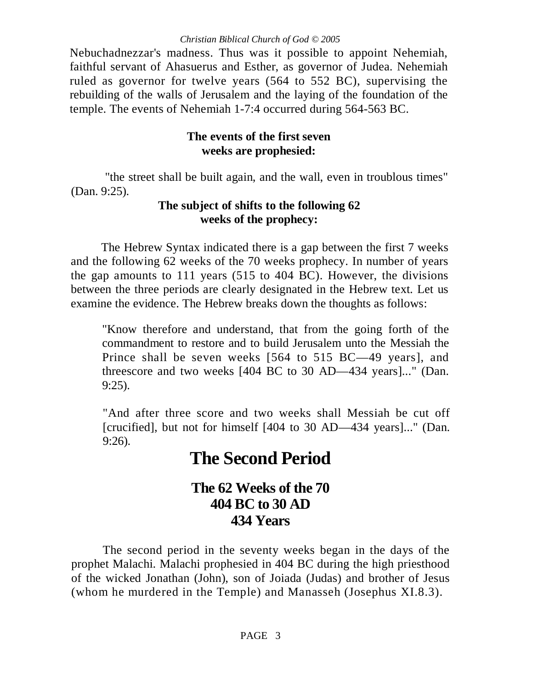Nebuchadnezzar's madness. Thus was it possible to appoint Nehemiah, faithful servant of Ahasuerus and Esther, as governor of Judea. Nehemiah ruled as governor for twelve years (564 to 552 BC), supervising the rebuilding of the walls of Jerusalem and the laying of the foundation of the temple. The events of Nehemiah 1-7:4 occurred during 564-563 BC.

## **The events of the first seven weeks are prophesied:**

"the street shall be built again, and the wall, even in troublous times" (Dan. 9:25).

## **The subject of shifts to the following 62 weeks of the prophecy:**

The Hebrew Syntax indicated there is a gap between the first 7 weeks and the following 62 weeks of the 70 weeks prophecy. In number of years the gap amounts to 111 years (515 to 404 BC). However, the divisions between the three periods are clearly designated in the Hebrew text. Let us examine the evidence. The Hebrew breaks down the thoughts as follows:

"Know therefore and understand, that from the going forth of the commandment to restore and to build Jerusalem unto the Messiah the Prince shall be seven weeks [564 to 515 BC—49 years], and threescore and two weeks [404 BC to 30 AD—434 years]..." (Dan. 9:25).

"And after three score and two weeks shall Messiah be cut off [crucified], but not for himself [404 to 30 AD—434 years]..." (Dan. 9:26).

# **The Second Period**

## **The 62 Weeks of the 70 404 BC to 30 AD 434 Years**

The second period in the seventy weeks began in the days of the prophet Malachi. Malachi prophesied in 404 BC during the high priesthood of the wicked Jonathan (John), son of Joiada (Judas) and brother of Jesus (whom he murdered in the Temple) and Manasseh (Josephus XI.8.3).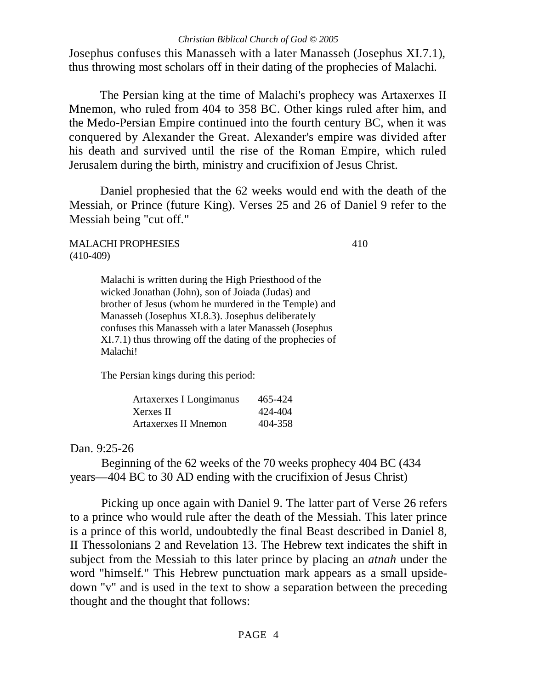Josephus confuses this Manasseh with a later Manasseh (Josephus XI.7.1), thus throwing most scholars off in their dating of the prophecies of Malachi.

The Persian king at the time of Malachi's prophecy was Artaxerxes II Mnemon, who ruled from 404 to 358 BC. Other kings ruled after him, and the Medo-Persian Empire continued into the fourth century BC, when it was conquered by Alexander the Great. Alexander's empire was divided after his death and survived until the rise of the Roman Empire, which ruled Jerusalem during the birth, ministry and crucifixion of Jesus Christ.

Daniel prophesied that the 62 weeks would end with the death of the Messiah, or Prince (future King). Verses 25 and 26 of Daniel 9 refer to the Messiah being "cut off."

#### MALACHI PROPHESIES 410 (410-409)

Malachi is written during the High Priesthood of the wicked Jonathan (John), son of Joiada (Judas) and brother of Jesus (whom he murdered in the Temple) and Manasseh (Josephus XI.8.3). Josephus deliberately confuses this Manasseh with a later Manasseh (Josephus XI.7.1) thus throwing off the dating of the prophecies of Malachi!

The Persian kings during this period:

| Artaxerxes I Longimanus     | 465-424 |
|-----------------------------|---------|
| Xerxes II                   | 424-404 |
| <b>Artaxerxes II Mnemon</b> | 404-358 |

#### Dan. 9:25-26

Beginning of the 62 weeks of the 70 weeks prophecy 404 BC (434 years—404 BC to 30 AD ending with the crucifixion of Jesus Christ)

Picking up once again with Daniel 9. The latter part of Verse 26 refers to a prince who would rule after the death of the Messiah. This later prince is a prince of this world, undoubtedly the final Beast described in Daniel 8, II Thessolonians 2 and Revelation 13. The Hebrew text indicates the shift in subject from the Messiah to this later prince by placing an *atnah* under the word "himself." This Hebrew punctuation mark appears as a small upsidedown "v" and is used in the text to show a separation between the preceding thought and the thought that follows: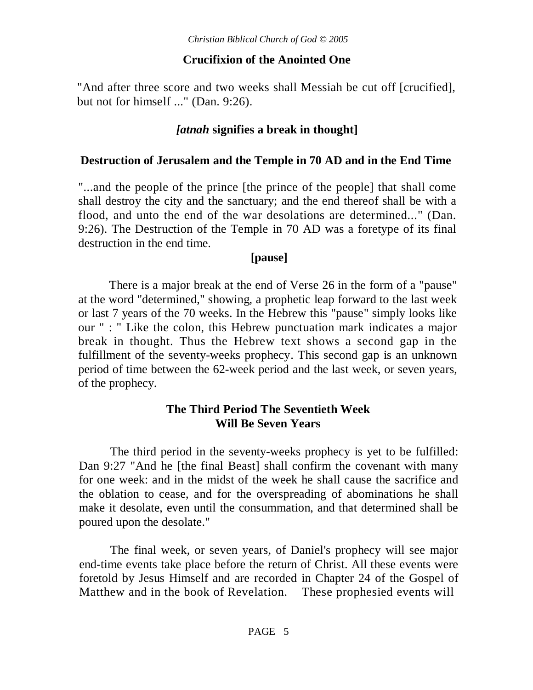## **Crucifixion of the Anointed One**

"And after three score and two weeks shall Messiah be cut off [crucified], but not for himself ..." (Dan. 9:26).

## *[atnah* **signifies a break in thought]**

### **Destruction of Jerusalem and the Temple in 70 AD and in the End Time**

"...and the people of the prince [the prince of the people] that shall come shall destroy the city and the sanctuary; and the end thereof shall be with a flood, and unto the end of the war desolations are determined..." (Dan. 9:26). The Destruction of the Temple in 70 AD was a foretype of its final destruction in the end time.

## **[pause]**

There is a major break at the end of Verse 26 in the form of a "pause" at the word "determined," showing, a prophetic leap forward to the last week or last 7 years of the 70 weeks. In the Hebrew this "pause" simply looks like our " : " Like the colon, this Hebrew punctuation mark indicates a major break in thought. Thus the Hebrew text shows a second gap in the fulfillment of the seventy-weeks prophecy. This second gap is an unknown period of time between the 62-week period and the last week, or seven years, of the prophecy.

## **The Third Period The Seventieth Week Will Be Seven Years**

The third period in the seventy-weeks prophecy is yet to be fulfilled: Dan 9:27 "And he [the final Beast] shall confirm the covenant with many for one week: and in the midst of the week he shall cause the sacrifice and the oblation to cease, and for the overspreading of abominations he shall make it desolate, even until the consummation, and that determined shall be poured upon the desolate."

The final week, or seven years, of Daniel's prophecy will see major end-time events take place before the return of Christ. All these events were foretold by Jesus Himself and are recorded in Chapter 24 of the Gospel of Matthew and in the book of Revelation. These prophesied events will